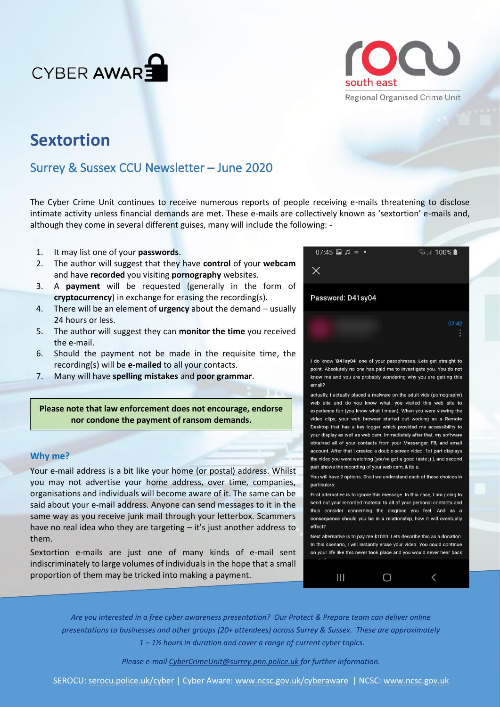



# **Sextortion**

# Surrey & Sussex CCU Newsletter – June 2020

The Cyber Crime Unit continues to receive numerous reports of people receiving e-mails threatening to disclose intimate activity unless financial demands are met. These e-mails are collectively known as 'sextortion' e-mails and, although they come in several different guises, many will include the following: -

- 1. It may list one of your **passwords**.
- 2. The author will suggest that they have **control** of your **webcam** and have **recorded** you visiting **pornography** websites.
- 3. A **payment** will be requested (generally in the form of **cryptocurrency**) in exchange for erasing the recording(s).
- 4. There will be an element of **urgency** about the demand usually 24 hours or less.
- 5. The author will suggest they can **monitor the time** you received the e-mail.
- 6. Should the payment not be made in the requisite time, the recording(s) will be **e-mailed** to all your contacts.
- 7. Many will have **spelling mistakes** and **poor grammar**.

**Please note that law enforcement does not encourage, endorse nor condone the payment of ransom demands.**

## **Why me?**

Your e-mail address is a bit like your home (or postal) address. Whilst you may not advertise your home address, over time, companies, organisations and individuals will become aware of it. The same can be said about your e-mail address. Anyone can send messages to it in the same way as you receive junk mail through your letterbox. Scammers have no real idea who they are targeting – it's just another address to them.

Sextortion e-mails are just one of many kinds of e-mail sent indiscriminately to large volumes of individuals in the hope that a small proportion of them may be tricked into making a payment.



I do know 'D41sy04' one of your passphrases. Lets get straight to point. Absolutely no one has paid me to investigate you. You do not know me and you are probably wondering why you are getting this email?

actually, I actually placed a malware on the adult vids (pornography) web site and do you know what, you visited this web site to experience fun (you know what I mean). When you were viewing the video clips, your web browser started out working as a Remote Desktop that has a key logger which provided me accessibility to your display as well as web cam. Immediately after that, my software obtained all of your contacts from your Messenger, FB, and email account. After that I created a double-screen video. 1st part displays the video you were watching (you've got a good taste;)), and second part shows the recording of your web cam, & its u.

You will have 2 options. Shall we understand each of these choices in particulars:

First alternative is to ignore this message. In this case, I am going to send out your recorded material to all of your personal contacts and thus consider concerning the disgrace you feel. And as a consequence should you be in a relationship, how it will eventually effect?

Next alternative is to pay me \$1000. Lets describe this as a donation. In this scenario, I will instantly erase your video. You could continue on your life like this never took place and you would never hear back

 $\bigcirc$ 

 $\overline{\phantom{a}}$ 

 $\mathbf{III}$ 



*Please e-mail [CyberCrimeUnit@surrey.pnn.police.uk](mailto:CyberCrimeUnit@surrey.pnn.police.uk) for further information.*